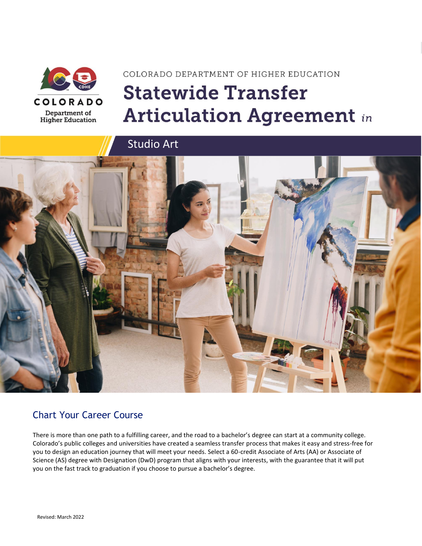

# COLORADO DEPARTMENT OF HIGHER EDUCATION **Statewide Transfer Articulation Agreement in**



### Chart Your Career Course

There is more than one path to a fulfilling career, and the road to a bachelor's degree can start at a community college. Colorado's public colleges and universities have created a seamless transfer process that makes it easy and stress-free for you to design an education journey that will meet your needs. Select a 60-credit Associate of Arts (AA) or Associate of Science (AS) degree with Designation (DwD) program that aligns with your interests, with the guarantee that it will put you on the fast track to graduation if you choose to pursue a bachelor's degree.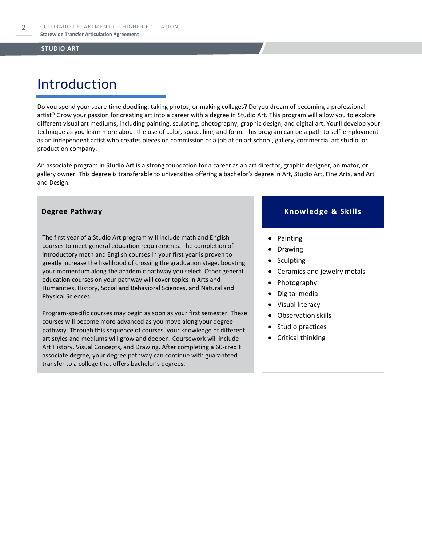# Introduction

Do you spend your spare time doodling, taking photos, or making collages? Do you dream of becoming a professional artist? Grow your passion for creating art into a career with a degree in Studio Art. This program will allow you to explore different visual art mediums, including painting, sculpting, photography, graphic design, and digital art. You'll develop your technique as you learn more about the use of color, space, line, and form. This program can be a path to self-employment as an independent artist who creates pieces on commission or a job at an art school, gallery, commercial art studio, or production company.

An associate program in Studio Art is a strong foundation for a career as an art director, graphic designer, animator, or gallery owner. This degree is transferable to universities offering a bachelor's degree in Art, Studio Art, Fine Arts, and Art and Design.

The first year of a Studio Art program will include math and English courses to meet general education requirements. The completion of introductory math and English courses in your first year is proven to greatly increase the likelihood of crossing the graduation stage, boosting your momentum along the academic pathway you select. Other general education courses on your pathway will cover topics in Arts and Humanities, History, Social and Behavioral Sciences, and Natural and Physical Sciences.

Program-specific courses may begin as soon as your first semester. These courses will become more advanced as you move along your degree pathway. Through this sequence of courses, your knowledge of different art styles and mediums will grow and deepen. Coursework will include Art History, Visual Concepts, and Drawing. After completing a 60-credit associate degree, your degree pathway can continue with guaranteed transfer to a college that offers bachelor's degrees.

### **Degree Pathway Knowledge & Skills**

- Painting
- **Drawing**
- **Sculpting**
- Ceramics and jewelry metals
- Photography
- Digital media
- Visual literacy
- Observation skills
- Studio practices
- Critical thinking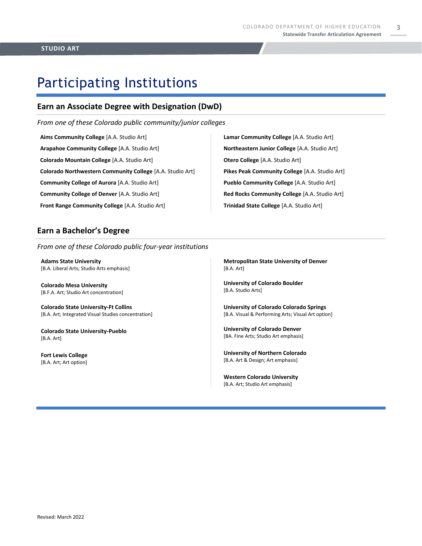# Participating Institutions

### **Earn an Associate Degree with Designation (DwD)**

*From one of these Colorado public community/junior colleges*

**Aims Community College** [A.A. Studio Art] **Arapahoe Community College** [A.A. Studio Art] **Colorado Mountain College** [A.A. Studio Art] **Colorado Northwestern Community College** [A.A. Studio Art] **Community College of Aurora** [A.A. Studio Art] **Community College of Denver** [A.A. Studio Art] **Front Range Community College** [A.A. Studio Art]

**Lamar Community College** [A.A. Studio Art] **Northeastern Junior College** [A.A. Studio Art] **Otero College** [A.A. Studio Art] **Pikes Peak Community College** [A.A. Studio Art] **Pueblo Community College** [A.A. Studio Art] **Red Rocks Community College** [A.A. Studio Art] **Trinidad State College** [A.A. Studio Art]

### **Earn a Bachelor's Degree**

*From one of these Colorado public four-year institutions*

**Adams State University**  [B.A. Liberal Arts; Studio Arts emphasis]

**Colorado Mesa University**  [B.F.A. Art; Studio Art concentration]

**Colorado State University-Ft Collins**  [B.A. Art; Integrated Visual Studies concentration]

**Colorado State University-Pueblo**  [B.A. Art]

**Fort Lewis College**  [B.A. Art; Art option]

**Metropolitan State University of Denver**  [B.A. Art]

**University of Colorado Boulder**  [B.A. Studio Arts]

**University of Colorado Colorado Springs** [B.A. Visual & Performing Arts; Visual Art option]

**University of Colorado Denver** [BA. Fine Arts; Studio Art emphasis]

**University of Northern Colorado** [B.A. Art & Design; Art emphasis]

**Western Colorado University** [B.A. Art; Studio Art emphasis]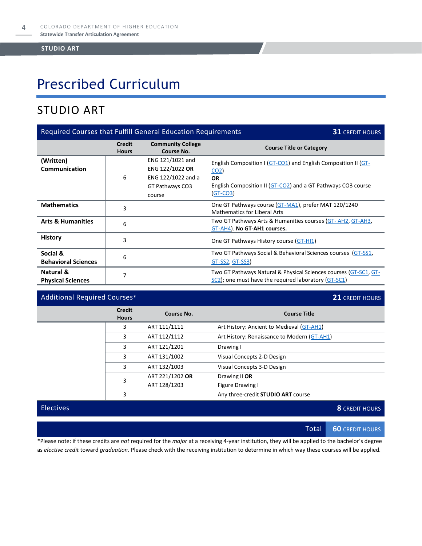# Prescribed Curriculum

## STUDIO ART

| Required Courses that Fulfill General Education Requirements<br><b>31 CREDIT HOURS</b> |                               |                                                                                        |                                                                                                                                                                              |
|----------------------------------------------------------------------------------------|-------------------------------|----------------------------------------------------------------------------------------|------------------------------------------------------------------------------------------------------------------------------------------------------------------------------|
|                                                                                        | <b>Credit</b><br><b>Hours</b> | <b>Community College</b><br>Course No.                                                 | <b>Course Title or Category</b>                                                                                                                                              |
| (Written)<br>Communication                                                             | 6                             | ENG 121/1021 and<br>ENG 122/1022 OR<br>ENG 122/1022 and a<br>GT Pathways CO3<br>course | English Composition I (GT-CO1) and English Composition II (GT-<br>CO <sub>2</sub><br><b>OR</b><br>English Composition II (GT-CO2) and a GT Pathways CO3 course<br>$(GT-CO3)$ |
| <b>Mathematics</b>                                                                     | 3                             |                                                                                        | One GT Pathways course (GT-MA1), prefer MAT 120/1240<br><b>Mathematics for Liberal Arts</b>                                                                                  |
| <b>Arts &amp; Humanities</b>                                                           | 6                             |                                                                                        | Two GT Pathways Arts & Humanities courses (GT-AH2, GT-AH3,<br>GT-AH4). No GT-AH1 courses.                                                                                    |
| <b>History</b>                                                                         | 3                             |                                                                                        | One GT Pathways History course (GT-HI1)                                                                                                                                      |
| Social &<br><b>Behavioral Sciences</b>                                                 | 6                             |                                                                                        | Two GT Pathways Social & Behavioral Sciences courses (GT-SS1,<br><u>GT-SS2, GT-SS3)</u>                                                                                      |
| Natural &<br><b>Physical Sciences</b>                                                  | 7                             |                                                                                        | Two GT Pathways Natural & Physical Sciences courses (GT-SC1, GT-<br>SC2); one must have the required laboratory (GT-SC1)                                                     |

### Additional Required Courses\* **21** CREDIT HOURS

|  | <b>Credit</b><br><b>Hours</b> | Course No.      | <b>Course Title</b>                         |
|--|-------------------------------|-----------------|---------------------------------------------|
|  | 3                             | ART 111/1111    | Art History: Ancient to Medieval (GT-AH1)   |
|  | 3                             | ART 112/1112    | Art History: Renaissance to Modern (GT-AH1) |
|  | 3                             | ART 121/1201    | Drawing I                                   |
|  | 3                             | ART 131/1002    | Visual Concepts 2-D Design                  |
|  | 3                             | ART 132/1003    | Visual Concepts 3-D Design                  |
|  | 3                             | ART 221/1202 OR | Drawing II OR                               |
|  |                               | ART 128/1203    | Figure Drawing I                            |
|  | 3                             |                 | Any three-credit STUDIO ART course          |

Electives **8** CREDIT HOURS

Total **60** CREDIT HOURS

\*Please note: if these credits are *not* required for the *major* at a receiving 4-year institution, they will be applied to the bachelor's degree as *elective credit* toward *graduation*. Please check with the receiving institution to determine in which way these courses will be applied.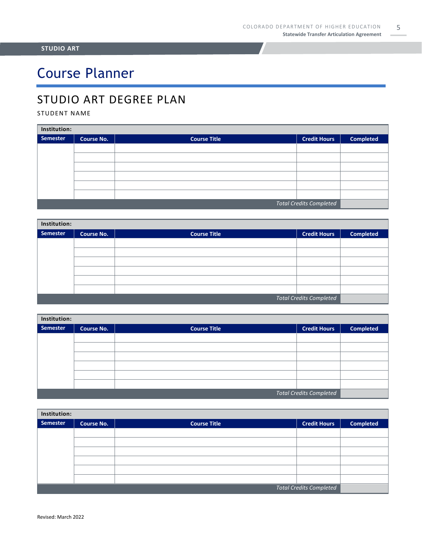# Course Planner

## STUDIO ART DEGREE PLAN

### STUDENT NAME

| Institution:                   |                   |                     |                     |                  |  |
|--------------------------------|-------------------|---------------------|---------------------|------------------|--|
| Semester                       | <b>Course No.</b> | <b>Course Title</b> | <b>Credit Hours</b> | <b>Completed</b> |  |
|                                |                   |                     |                     |                  |  |
|                                |                   |                     |                     |                  |  |
|                                |                   |                     |                     |                  |  |
|                                |                   |                     |                     |                  |  |
|                                |                   |                     |                     |                  |  |
|                                |                   |                     |                     |                  |  |
| <b>Total Credits Completed</b> |                   |                     |                     |                  |  |

| Institution:                   |                   |                     |                     |                  |  |
|--------------------------------|-------------------|---------------------|---------------------|------------------|--|
| <b>Semester</b>                | <b>Course No.</b> | <b>Course Title</b> | <b>Credit Hours</b> | <b>Completed</b> |  |
|                                |                   |                     |                     |                  |  |
|                                |                   |                     |                     |                  |  |
|                                |                   |                     |                     |                  |  |
|                                |                   |                     |                     |                  |  |
|                                |                   |                     |                     |                  |  |
|                                |                   |                     |                     |                  |  |
| <b>Total Credits Completed</b> |                   |                     |                     |                  |  |

| Institution:                   |                   |                     |                     |                  |  |
|--------------------------------|-------------------|---------------------|---------------------|------------------|--|
| Semester                       | <b>Course No.</b> | <b>Course Title</b> | <b>Credit Hours</b> | <b>Completed</b> |  |
|                                |                   |                     |                     |                  |  |
|                                |                   |                     |                     |                  |  |
|                                |                   |                     |                     |                  |  |
|                                |                   |                     |                     |                  |  |
|                                |                   |                     |                     |                  |  |
|                                |                   |                     |                     |                  |  |
| <b>Total Credits Completed</b> |                   |                     |                     |                  |  |

| Institution:                   |                   |                     |                     |                  |  |
|--------------------------------|-------------------|---------------------|---------------------|------------------|--|
| Semester                       | <b>Course No.</b> | <b>Course Title</b> | <b>Credit Hours</b> | <b>Completed</b> |  |
|                                |                   |                     |                     |                  |  |
|                                |                   |                     |                     |                  |  |
|                                |                   |                     |                     |                  |  |
|                                |                   |                     |                     |                  |  |
|                                |                   |                     |                     |                  |  |
|                                |                   |                     |                     |                  |  |
| <b>Total Credits Completed</b> |                   |                     |                     |                  |  |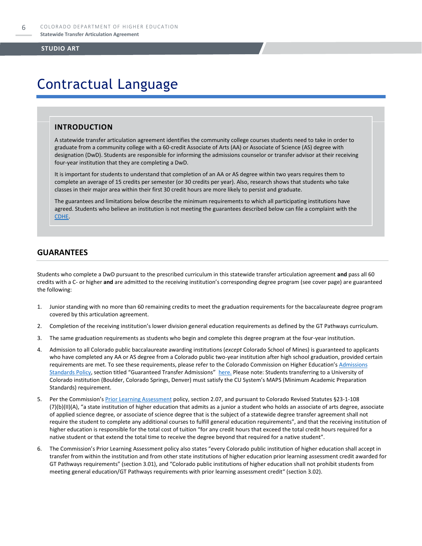# Contractual Language

### **INTRODUCTION**

A statewide transfer articulation agreement identifies the community college courses students need to take in order to graduate from a community college with a 60-credit Associate of Arts (AA) or Associate of Science (AS) degree with designation (DwD). Students are responsible for informing the admissions counselor or transfer advisor at their receiving four-year institution that they are completing a DwD.

It is important for students to understand that completion of an AA or AS degree within two years requires them to complete an average of 15 credits per semester (or 30 credits per year). Also, research shows that students who take classes in their major area within their first 30 credit hours are more likely to persist and graduate.

The guarantees and limitations below describe the minimum requirements to which all participating institutions have agreed. Students who believe an institution is not meeting the guarantees described below can file a complaint with the [CDHE.](https://highered.colorado.gov/filing-student-complaint)

### **GUARANTEES**

Students who complete a DwD pursuant to the prescribed curriculum in this statewide transfer articulation agreement **and** pass all 60 credits with a C- or higher **and** are admitted to the receiving institution's corresponding degree program (see cover page) are guaranteed the following:

- 1. Junior standing with no more than 60 remaining credits to meet the graduation requirements for the baccalaureate degree program covered by this articulation agreement.
- 2. Completion of the receiving institution's lower division general education requirements as defined by the GT Pathways curriculum.
- 3. The same graduation requirements as students who begin and complete this degree program at the four-year institution.
- 4. Admission to all Colorado public baccalaureate awarding institutions (*except* Colorado School of Mines) is guaranteed to applicants who have completed any AA or AS degree from a Colorado public two-year institution after high school graduation, provided certain requirements are met. To see these requirements, please refer to the Colorado Commission on Higher Education's Admissions [Standards Policy](https://highered.colorado.gov/sites/highered/files/2020-03/i-partf_0.pdf), section titled "Guaranteed Transfer Admissions" [here.](https://highered.colorado.gov/educators/policy-funding/cche-policies-procedures) Please note: Students transferring to a University of Colorado institution (Boulder, Colorado Springs, Denver) must satisfy the CU System's MAPS (Minimum Academic Preparation Standards) requirement.
- 5. Per the Commission's **[Prior Learning Assessment](https://highered.colorado.gov/sites/highered/files/2020-03/i-partx.pdf)** policy, section 2.07, and pursuant to Colorado Revised Statutes §23-1-108 (7)(b)(II)(A), "a state institution of higher education that admits as a junior a student who holds an associate of arts degree, associate of applied science degree, or associate of science degree that is the subject of a statewide degree transfer agreement shall not require the student to complete any additional courses to fulfill general education requirements", and that the receiving institution of higher education is responsible for the total cost of tuition "for any credit hours that exceed the total credit hours required for a native student or that extend the total time to receive the degree beyond that required for a native student".
- 6. The Commission's Prior Learning Assessment policy also states "every Colorado public institution of higher education shall accept in transfer from within the institution and from other state institutions of higher education prior learning assessment credit awarded for GT Pathways requirements" (section 3.01), and "Colorado public institutions of higher education shall not prohibit students from meeting general education/GT Pathways requirements with prior learning assessment credit" (section 3.02).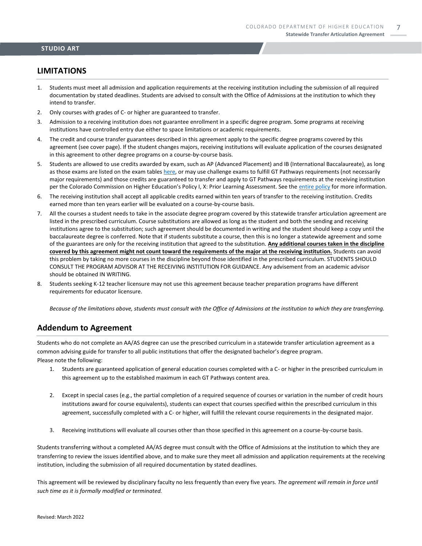### **LIMITATIONS**

- 1. Students must meet all admission and application requirements at the receiving institution including the submission of all required documentation by stated deadlines. Students are advised to consult with the Office of Admissions at the institution to which they intend to transfer.
- 2. Only courses with grades of C- or higher are guaranteed to transfer.
- 3. Admission to a receiving institution does not guarantee enrollment in a specific degree program. Some programs at receiving institutions have controlled entry due either to space limitations or academic requirements.
- 4. The credit and course transfer guarantees described in this agreement apply to the specific degree programs covered by this agreement (see cover page). If the student changes majors, receiving institutions will evaluate application of the courses designated in this agreement to other degree programs on a course-by-course basis.
- 5. Students are allowed to use credits awarded by exam, such as AP (Advanced Placement) and IB (International Baccalaureate), as long as those exams are listed on the exam table[s here,](https://highered.colorado.gov/get-credit-for-what-you-already-know) or may use challenge exams to fulfill GT Pathways requirements (not necessarily major requirements) and those credits are guaranteed to transfer and apply to GT Pathways requirements at the receiving institution per the Colorado Commission on Higher Education's Policy I, X: Prior Learning Assessment. See the [entire policy](https://highered.colorado.gov/sites/highered/files/2020-03/i-partx.pdf) for more information.
- 6. The receiving institution shall accept all applicable credits earned within ten years of transfer to the receiving institution. Credits earned more than ten years earlier will be evaluated on a course-by-course basis.
- 7. All the courses a student needs to take in the associate degree program covered by this statewide transfer articulation agreement are listed in the prescribed curriculum. Course substitutions are allowed as long as the student and both the sending and receiving institutions agree to the substitution; such agreement should be documented in writing and the student should keep a copy until the baccalaureate degree is conferred. Note that if students substitute a course, then this is no longer a statewide agreement and some of the guarantees are only for the receiving institution that agreed to the substitution. **Any additional courses taken in the discipline covered by this agreement might not count toward the requirements of the major at the receiving institution.** Students can avoid this problem by taking no more courses in the discipline beyond those identified in the prescribed curriculum. STUDENTS SHOULD CONSULT THE PROGRAM ADVISOR AT THE RECEIVING INSTITUTION FOR GUIDANCE. Any advisement from an academic advisor should be obtained IN WRITING.
- 8. Students seeking K-12 teacher licensure may not use this agreement because teacher preparation programs have different requirements for educator licensure.

*Because of the limitations above, students must consult with the Office of Admissions at the institution to which they are transferring.*

### **Addendum to Agreement**

Students who do not complete an AA/AS degree can use the prescribed curriculum in a statewide transfer articulation agreement as a common advising guide for transfer to all public institutions that offer the designated bachelor's degree program. Please note the following:

- 1. Students are guaranteed application of general education courses completed with a C- or higher in the prescribed curriculum in this agreement up to the established maximum in each GT Pathways content area.
- 2. Except in special cases (e.g., the partial completion of a required sequence of courses or variation in the number of credit hours institutions award for course equivalents), students can expect that courses specified within the prescribed curriculum in this agreement, successfully completed with a C- or higher, will fulfill the relevant course requirements in the designated major.
- 3. Receiving institutions will evaluate all courses other than those specified in this agreement on a course-by-course basis.

Students transferring without a completed AA/AS degree must consult with the Office of Admissions at the institution to which they are transferring to review the issues identified above, and to make sure they meet all admission and application requirements at the receiving institution, including the submission of all required documentation by stated deadlines.

This agreement will be reviewed by disciplinary faculty no less frequently than every five years. *The agreement will remain in force until such time as it is formally modified or terminated.*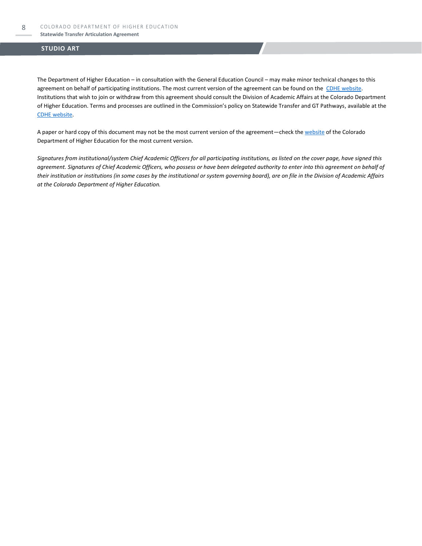### **Statewide Transfer Articulation Agreement**

### **STUDIO ART**

The Department of Higher Education – in consultation with the General Education Council – may make minor technical changes to this agreement on behalf of participating institutions. The most current version of the agreement can be found on the [CDHE website.](https://highered.colorado.gov/transfer-degrees) Institutions that wish to join or withdraw from this agreement should consult the Division of Academic Affairs at the Colorado Department of Higher Education. Terms and processes are outlined in the Commission's policy on Statewide Transfer and GT Pathways, available at the [CDHE website.](https://highered.colorado.gov/educators/policy-funding/general-education-ge-council/gtpathways/transfer-agreements)

A paper or hard copy of this document may not be the most current version of the agreement—check th[e website](https://highered.colorado.gov/transfer-degrees) of the Colorado Department of Higher Education for the most current version.

*Signatures from institutional/system Chief Academic Officers for all participating institutions, as listed on the cover page, have signed this agreement. Signatures of Chief Academic Officers, who possess or have been delegated authority to enter into this agreement on behalf of their institution or institutions (in some cases by the institutional or system governing board), are on file in the Division of Academic Affairs at the Colorado Department of Higher Education.*